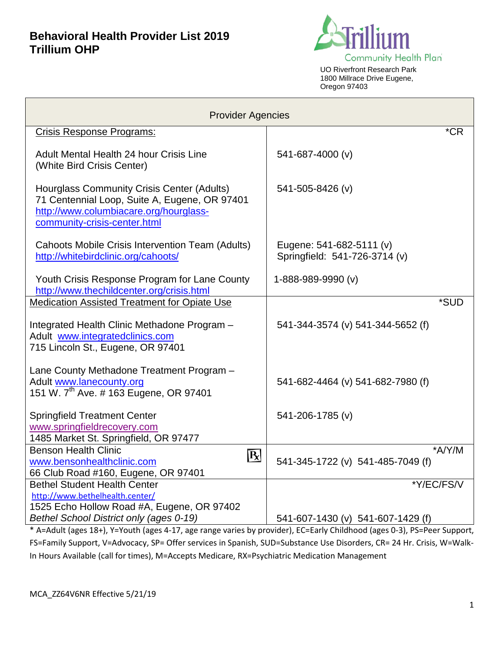

UO Riverfront Research Park 1800 Millrace Drive Eugene, Oregon 97403

| <b>Provider Agencies</b>                                                                                                                                                     |                                                           |  |
|------------------------------------------------------------------------------------------------------------------------------------------------------------------------------|-----------------------------------------------------------|--|
| Crisis Response Programs:                                                                                                                                                    | $*$ CR                                                    |  |
| Adult Mental Health 24 hour Crisis Line<br>(White Bird Crisis Center)                                                                                                        | 541-687-4000 (v)                                          |  |
| <b>Hourglass Community Crisis Center (Adults)</b><br>71 Centennial Loop, Suite A, Eugene, OR 97401<br>http://www.columbiacare.org/hourglass-<br>community-crisis-center.html | 541-505-8426 (v)                                          |  |
| Cahoots Mobile Crisis Intervention Team (Adults)<br>http://whitebirdclinic.org/cahoots/                                                                                      | Eugene: 541-682-5111 (v)<br>Springfield: 541-726-3714 (v) |  |
| Youth Crisis Response Program for Lane County<br>http://www.thechildcenter.org/crisis.html                                                                                   | 1-888-989-9990 (v)                                        |  |
| <b>Medication Assisted Treatment for Opiate Use</b>                                                                                                                          | *SUD                                                      |  |
| Integrated Health Clinic Methadone Program -<br>Adult www.integratedclinics.com<br>715 Lincoln St., Eugene, OR 97401                                                         | 541-344-3574 (v) 541-344-5652 (f)                         |  |
| Lane County Methadone Treatment Program -<br>Adult www.lanecounty.org<br>151 W. 7 <sup>th</sup> Ave. # 163 Eugene, OR 97401                                                  | 541-682-4464 (v) 541-682-7980 (f)                         |  |
| <b>Springfield Treatment Center</b>                                                                                                                                          | 541-206-1785 (v)                                          |  |
| www.springfieldrecovery.com<br>1485 Market St. Springfield, OR 97477                                                                                                         |                                                           |  |
| <b>Benson Health Clinic</b>                                                                                                                                                  | $*A/Y/M$                                                  |  |
| $R \mid$<br>www.bensonhealthclinic.com<br>66 Club Road #160, Eugene, OR 97401                                                                                                | 541-345-1722 (v) 541-485-7049 (f)                         |  |
| <b>Bethel Student Health Center</b>                                                                                                                                          | *Y/EC/FS/V                                                |  |
| http://www.bethelhealth.center/                                                                                                                                              |                                                           |  |
| 1525 Echo Hollow Road #A, Eugene, OR 97402                                                                                                                                   |                                                           |  |
| Bethel School District only (ages 0-19)                                                                                                                                      | 541-607-1430 (v) 541-607-1429 (f)                         |  |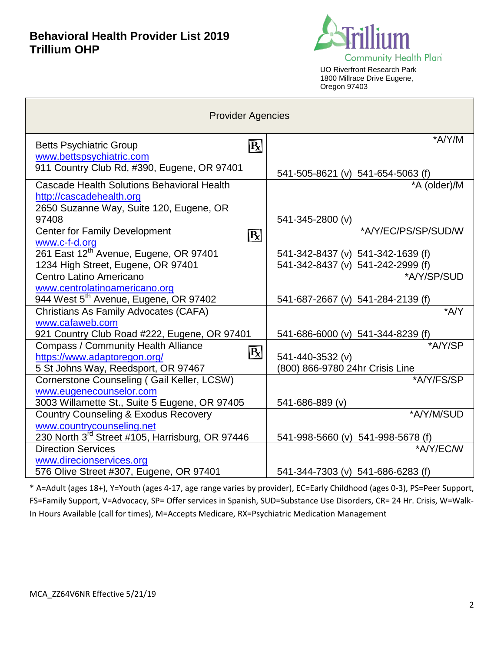

UO Riverfront Research Park 1800 Millrace Drive Eugene, Oregon 97403

| <b>Provider Agencies</b>                                            |                                                                        |  |  |
|---------------------------------------------------------------------|------------------------------------------------------------------------|--|--|
| <b>Betts Psychiatric Group</b><br>$\mathbf{R}$                      | *A/Y/M                                                                 |  |  |
| www.bettspsychiatric.com                                            |                                                                        |  |  |
| 911 Country Club Rd, #390, Eugene, OR 97401                         | 541-505-8621 (v) 541-654-5063 (f)                                      |  |  |
| Cascade Health Solutions Behavioral Health                          | *A (older)/M                                                           |  |  |
| http://cascadehealth.org                                            |                                                                        |  |  |
| 2650 Suzanne Way, Suite 120, Eugene, OR                             |                                                                        |  |  |
| 97408                                                               | 541-345-2800 (v)                                                       |  |  |
| <b>Center for Family Development</b><br>$\overline{\mathbf{R}}$     | *A/Y/EC/PS/SP/SUD/W                                                    |  |  |
| www.c-f-d.org<br>261 East 12 <sup>th</sup> Avenue, Eugene, OR 97401 |                                                                        |  |  |
| 1234 High Street, Eugene, OR 97401                                  | 541-342-8437 (v) 541-342-1639 (f)<br>541-342-8437 (v) 541-242-2999 (f) |  |  |
| Centro Latino Americano                                             | *A/Y/SP/SUD                                                            |  |  |
| www.centrolatinoamericano.org                                       |                                                                        |  |  |
| 944 West 5 <sup>th</sup> Avenue, Eugene, OR 97402                   | 541-687-2667 (v) 541-284-2139 (f)                                      |  |  |
| Christians As Family Advocates (CAFA)                               | $*AYY$                                                                 |  |  |
| www.cafaweb.com                                                     |                                                                        |  |  |
| 921 Country Club Road #222, Eugene, OR 97401                        | 541-686-6000 (v) 541-344-8239 (f)                                      |  |  |
| <b>Compass / Community Health Alliance</b>                          | *A/Y/SP                                                                |  |  |
| $\mathbf{R}$<br>https://www.adaptoregon.org/                        | 541-440-3532 (v)                                                       |  |  |
| 5 St Johns Way, Reedsport, OR 97467                                 | (800) 866-9780 24hr Crisis Line                                        |  |  |
| Cornerstone Counseling (Gail Keller, LCSW)                          | *A/Y/FS/SP                                                             |  |  |
| www.eugenecounselor.com                                             |                                                                        |  |  |
| 3003 Willamette St., Suite 5 Eugene, OR 97405                       | 541-686-889 (v)                                                        |  |  |
| <b>Country Counseling &amp; Exodus Recovery</b>                     | *A/Y/M/SUD                                                             |  |  |
| www.countrycounseling.net                                           |                                                                        |  |  |
| 230 North 3rd Street #105, Harrisburg, OR 97446                     | 541-998-5660 (v) 541-998-5678 (f)                                      |  |  |
| <b>Direction Services</b>                                           | *A/Y/EC/W                                                              |  |  |
| www.direcionservices.org<br>576 Olive Street #307, Eugene, OR 97401 | 541-344-7303 (v) 541-686-6283 (f)                                      |  |  |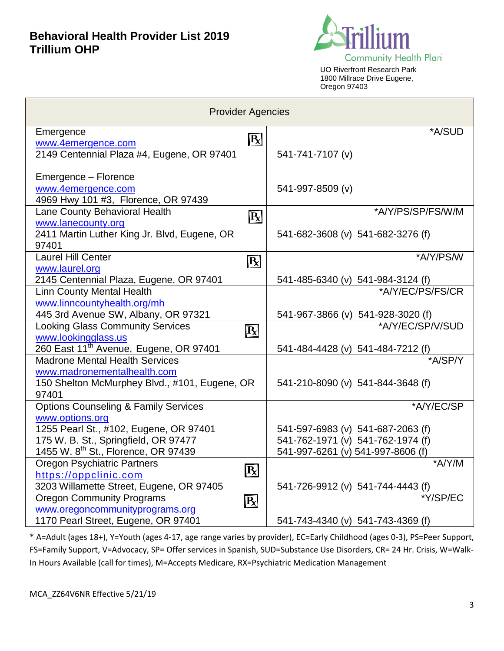

UO Riverfront Research Park 1800 Millrace Drive Eugene, Oregon 97403

| <b>Provider Agencies</b>                                           |                                                       |  |  |
|--------------------------------------------------------------------|-------------------------------------------------------|--|--|
| Emergence                                                          | *A/SUD                                                |  |  |
| $\mathbf{R}$<br>www.4emergence.com                                 |                                                       |  |  |
| 2149 Centennial Plaza #4, Eugene, OR 97401                         | 541-741-7107 (v)                                      |  |  |
|                                                                    |                                                       |  |  |
| Emergence - Florence                                               |                                                       |  |  |
| www.4emergence.com<br>4969 Hwy 101 #3, Florence, OR 97439          | 541-997-8509 (v)                                      |  |  |
| Lane County Behavioral Health                                      | *A/Y/PS/SP/FS/W/M                                     |  |  |
| $\boxed{\mathbf{R}}$<br>www.lanecounty.org                         |                                                       |  |  |
| 2411 Martin Luther King Jr. Blvd, Eugene, OR                       | 541-682-3608 (v) 541-682-3276 (f)                     |  |  |
| 97401                                                              |                                                       |  |  |
| <b>Laurel Hill Center</b><br>$\overline{\mathbf{R}}$               | *A/Y/PS/W                                             |  |  |
| www.laurel.org                                                     |                                                       |  |  |
| 2145 Centennial Plaza, Eugene, OR 97401                            | 541-485-6340 (v) 541-984-3124 (f)                     |  |  |
| <b>Linn County Mental Health</b>                                   | *A/Y/EC/PS/FS/CR                                      |  |  |
| www.linncountyhealth.org/mh<br>445 3rd Avenue SW, Albany, OR 97321 |                                                       |  |  |
| <b>Looking Glass Community Services</b>                            | 541-967-3866 (v) 541-928-3020 (f)<br>*A/Y/EC/SP/V/SUD |  |  |
| R<br>www.lookingglass.us                                           |                                                       |  |  |
| 260 East 11 <sup>th</sup> Avenue, Eugene, OR 97401                 | 541-484-4428 (v) 541-484-7212 (f)                     |  |  |
| <b>Madrone Mental Health Services</b>                              | *A/SP/Y                                               |  |  |
| www.madronementalhealth.com                                        |                                                       |  |  |
| 150 Shelton McMurphey Blvd., #101, Eugene, OR                      | 541-210-8090 (v) 541-844-3648 (f)                     |  |  |
| 97401                                                              |                                                       |  |  |
| <b>Options Counseling &amp; Family Services</b>                    | *A/Y/EC/SP                                            |  |  |
| www.options.org<br>1255 Pearl St., #102, Eugene, OR 97401          | 541-597-6983 (v) 541-687-2063 (f)                     |  |  |
| 175 W. B. St., Springfield, OR 97477                               | 541-762-1971 (v) 541-762-1974 (f)                     |  |  |
| 1455 W. 8 <sup>th</sup> St., Florence, OR 97439                    | 541-997-6261 (v) 541-997-8606 (f)                     |  |  |
| <b>Oregon Psychiatric Partners</b>                                 | *A/Y/M                                                |  |  |
| $\mathbf{R}$<br>https://oppclinic.com                              |                                                       |  |  |
| 3203 Willamette Street, Eugene, OR 97405                           | 541-726-9912 (v) 541-744-4443 (f)                     |  |  |
| <b>Oregon Community Programs</b><br>R                              | *Y/SP/EC                                              |  |  |
| www.oregoncommunityprograms.org                                    |                                                       |  |  |
| 1170 Pearl Street, Eugene, OR 97401                                | 541-743-4340 (v) 541-743-4369 (f)                     |  |  |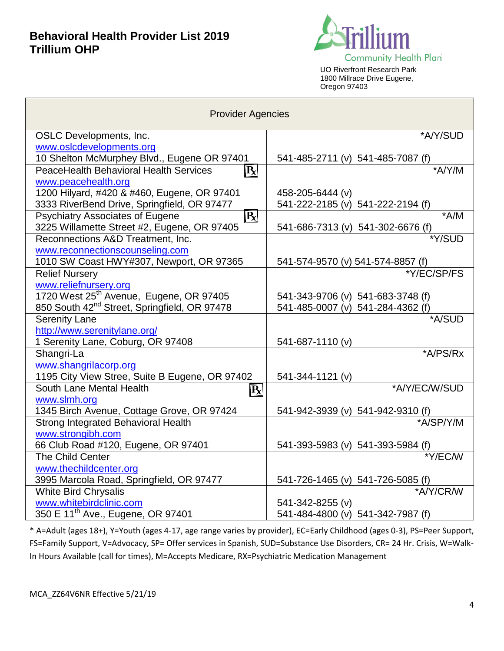**The State** 



UO Riverfront Research Park 1800 Millrace Drive Eugene, Oregon 97403

| <b>Provider Agencies</b>                                                                              |                                             |  |
|-------------------------------------------------------------------------------------------------------|---------------------------------------------|--|
| <b>OSLC</b> Developments, Inc.                                                                        | *A/Y/SUD                                    |  |
| www.oslcdevelopments.org                                                                              |                                             |  |
| 10 Shelton McMurphey Blvd., Eugene OR 97401                                                           | 541-485-2711 (v) 541-485-7087 (f)           |  |
| <b>PeaceHealth Behavioral Health Services</b><br>$\mathbf{R}$                                         | *A/Y/M                                      |  |
| www.peacehealth.org                                                                                   |                                             |  |
| 1200 Hilyard, #420 & #460, Eugene, OR 97401                                                           | 458-205-6444 (v)                            |  |
| 3333 RiverBend Drive, Springfield, OR 97477                                                           | 541-222-2185 (v) 541-222-2194 (f)           |  |
| <b>Psychiatry Associates of Eugene</b><br>$\mathbf{R}$<br>3225 Willamette Street #2, Eugene, OR 97405 | $+A/M$<br>541-686-7313 (v) 541-302-6676 (f) |  |
| Reconnections A&D Treatment, Inc.                                                                     | *Y/SUD                                      |  |
| www.reconnectionscounseling.com                                                                       |                                             |  |
| 1010 SW Coast HWY#307, Newport, OR 97365                                                              | 541-574-9570 (v) 541-574-8857 (f)           |  |
| <b>Relief Nursery</b>                                                                                 | *Y/EC/SP/FS                                 |  |
| www.reliefnursery.org                                                                                 |                                             |  |
| 1720 West 25 <sup>th</sup> Avenue, Eugene, OR 97405                                                   | 541-343-9706 (v) 541-683-3748 (f)           |  |
| 850 South 42 <sup>nd</sup> Street, Springfield, OR 97478                                              | 541-485-0007 (v) 541-284-4362 (f)           |  |
| <b>Serenity Lane</b>                                                                                  | *A/SUD                                      |  |
| http://www.serenitylane.org/                                                                          |                                             |  |
| 1 Serenity Lane, Coburg, OR 97408                                                                     | 541-687-1110 (v)                            |  |
| Shangri-La                                                                                            | *A/PS/Rx                                    |  |
| www.shangrilacorp.org                                                                                 |                                             |  |
| 1195 City View Stree, Suite B Eugene, OR 97402                                                        | 541-344-1121 (v)                            |  |
| South Lane Mental Health<br>R                                                                         | *A/Y/EC/W/SUD                               |  |
| www.slmh.org                                                                                          |                                             |  |
| 1345 Birch Avenue, Cottage Grove, OR 97424                                                            | 541-942-3939 (v) 541-942-9310 (f)           |  |
| Strong Integrated Behavioral Health                                                                   | *A/SP/Y/M                                   |  |
| www.strongibh.com                                                                                     |                                             |  |
| 66 Club Road #120, Eugene, OR 97401                                                                   | 541-393-5983 (v) 541-393-5984 (f)           |  |
| The Child Center                                                                                      | *Y/EC/W                                     |  |
| www.thechildcenter.org                                                                                |                                             |  |
| 3995 Marcola Road, Springfield, OR 97477                                                              | 541-726-1465 (v) 541-726-5085 (f)           |  |
| <b>White Bird Chrysalis</b>                                                                           | *A/Y/CR/W                                   |  |
| www.whitebirdclinic.com                                                                               | 541-342-8255 (v)                            |  |
| 350 E 11 <sup>th</sup> Ave., Eugene, OR 97401                                                         | 541-484-4800 (v) 541-342-7987 (f)           |  |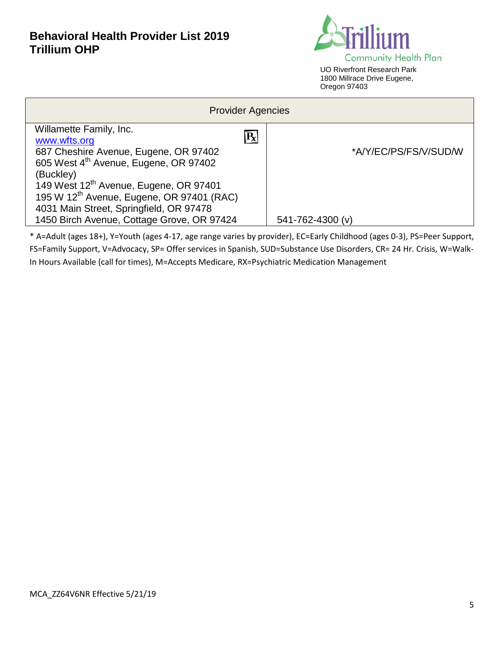

| <b>Provider Agencies</b>                              |                       |  |
|-------------------------------------------------------|-----------------------|--|
| Willamette Family, Inc.                               |                       |  |
| $ \mathbf{R} $<br>www.wfts.org                        |                       |  |
| 687 Cheshire Avenue, Eugene, OR 97402                 | *A/Y/EC/PS/FS/V/SUD/W |  |
| 605 West 4 <sup>th</sup> Avenue, Eugene, OR 97402     |                       |  |
| (Buckley)                                             |                       |  |
| 149 West 12 <sup>th</sup> Avenue, Eugene, OR 97401    |                       |  |
| 195 W 12 <sup>th</sup> Avenue, Eugene, OR 97401 (RAC) |                       |  |
| 4031 Main Street, Springfield, OR 97478               |                       |  |
| 1450 Birch Avenue, Cottage Grove, OR 97424            | 541-762-4300 (v)      |  |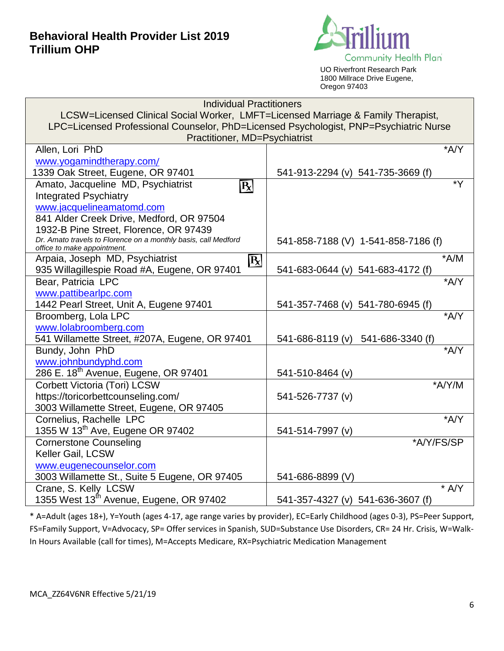

UO Riverfront Research Park 1800 Millrace Drive Eugene, Oregon 97403

| <b>Individual Practitioners</b>                                                               |                                      |  |  |
|-----------------------------------------------------------------------------------------------|--------------------------------------|--|--|
| LCSW=Licensed Clinical Social Worker, LMFT=Licensed Marriage & Family Therapist,              |                                      |  |  |
| LPC=Licensed Professional Counselor, PhD=Licensed Psychologist, PNP=Psychiatric Nurse         |                                      |  |  |
| Practitioner, MD=Psychiatrist                                                                 |                                      |  |  |
| $^*$ A/Y<br>Allen, Lori PhD                                                                   |                                      |  |  |
| www.yogamindtherapy.com/                                                                      |                                      |  |  |
| 1339 Oak Street, Eugene, OR 97401                                                             | 541-913-2294 (v) 541-735-3669 (f)    |  |  |
| Amato, Jacqueline MD, Psychiatrist<br>$\overline{\text{R}}$                                   | $*Y$                                 |  |  |
| <b>Integrated Psychiatry</b>                                                                  |                                      |  |  |
| www.jacquelineamatomd.com                                                                     |                                      |  |  |
| 841 Alder Creek Drive, Medford, OR 97504                                                      |                                      |  |  |
| 1932-B Pine Street, Florence, OR 97439                                                        |                                      |  |  |
| Dr. Amato travels to Florence on a monthly basis, call Medford<br>office to make appointment. | 541-858-7188 (V) 1-541-858-7186 (f)  |  |  |
| Arpaia, Joseph MD, Psychiatrist<br>$\boxed{\mathbf{R}}$                                       | $*A/M$                               |  |  |
| 935 Willagillespie Road #A, Eugene, OR 97401                                                  | 541-683-0644 (v) 541-683-4172 (f)    |  |  |
| Bear, Patricia LPC                                                                            | *A/Y                                 |  |  |
| www.pattibearlpc.com                                                                          |                                      |  |  |
| 1442 Pearl Street, Unit A, Eugene 97401                                                       | 541-357-7468 (v) 541-780-6945 (f)    |  |  |
| Broomberg, Lola LPC                                                                           | *A/Y                                 |  |  |
| www.lolabroomberg.com                                                                         |                                      |  |  |
| 541 Willamette Street, #207A, Eugene, OR 97401                                                | 541-686-8119 (v)<br>541-686-3340 (f) |  |  |
| Bundy, John PhD                                                                               | A/Y                                  |  |  |
| www.johnbundyphd.com                                                                          |                                      |  |  |
| 286 E. 18 <sup>th</sup> Avenue, Eugene, OR 97401                                              | 541-510-8464 (v)                     |  |  |
| Corbett Victoria (Tori) LCSW                                                                  | *A/Y/M                               |  |  |
| https://toricorbettcounseling.com/                                                            | 541-526-7737 (v)                     |  |  |
| 3003 Willamette Street, Eugene, OR 97405                                                      |                                      |  |  |
| Cornelius, Rachelle LPC                                                                       | *A/Y                                 |  |  |
| 1355 W 13 <sup>th</sup> Ave, Eugene OR 97402                                                  | 541-514-7997 (v)                     |  |  |
| <b>Cornerstone Counseling</b>                                                                 | *A/Y/FS/SP                           |  |  |
| Keller Gail, LCSW                                                                             |                                      |  |  |
| www.eugenecounselor.com                                                                       |                                      |  |  |
| 3003 Willamette St., Suite 5 Eugene, OR 97405                                                 | 541-686-8899 (V)                     |  |  |
| Crane, S. Kelly LCSW                                                                          | $*$ A/Y                              |  |  |
| 1355 West 13 <sup>th</sup> Avenue, Eugene, OR 97402                                           | 541-357-4327 (v) 541-636-3607 (f)    |  |  |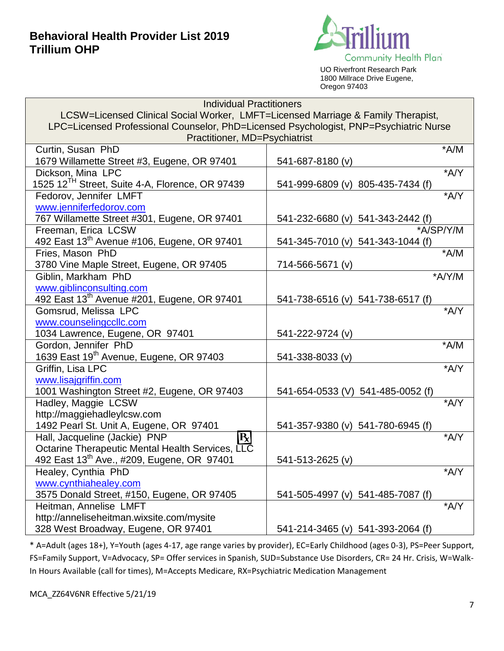

UO Riverfront Research Park 1800 Millrace Drive Eugene, Oregon 97403

| <b>Individual Practitioners</b>                                                       |                                   |  |
|---------------------------------------------------------------------------------------|-----------------------------------|--|
| LCSW=Licensed Clinical Social Worker, LMFT=Licensed Marriage & Family Therapist,      |                                   |  |
| LPC=Licensed Professional Counselor, PhD=Licensed Psychologist, PNP=Psychiatric Nurse |                                   |  |
| Practitioner, MD=Psychiatrist                                                         |                                   |  |
| Curtin, Susan PhD                                                                     | $*A/M$                            |  |
| 1679 Willamette Street #3, Eugene, OR 97401                                           | 541-687-8180 (v)                  |  |
| Dickson, Mina LPC                                                                     | *A/Y                              |  |
| 1525 12 <sup>TH</sup> Street, Suite 4-A, Florence, OR 97439                           | 541-999-6809 (v) 805-435-7434 (f) |  |
| Fedorov, Jennifer LMFT                                                                | *A/Y                              |  |
| www.jenniferfedorov.com                                                               |                                   |  |
| 767 Willamette Street #301, Eugene, OR 97401                                          | 541-232-6680 (v) 541-343-2442 (f) |  |
| Freeman, Erica LCSW                                                                   | *A/SP/Y/M                         |  |
| 492 East 13 <sup>th</sup> Avenue #106, Eugene, OR 97401                               | 541-345-7010 (v) 541-343-1044 (f) |  |
| Fries, Mason PhD                                                                      | $*A/M$                            |  |
| 3780 Vine Maple Street, Eugene, OR 97405                                              | 714-566-5671 (v)                  |  |
| Giblin, Markham PhD                                                                   | *A/Y/M                            |  |
| www.giblinconsulting.com                                                              |                                   |  |
| 492 East 13 <sup>th</sup> Avenue #201, Eugene, OR 97401                               | 541-738-6516 (v) 541-738-6517 (f) |  |
| Gomsrud, Melissa LPC                                                                  | *A/Y                              |  |
| www.counselingccllc.com                                                               |                                   |  |
| 1034 Lawrence, Eugene, OR 97401                                                       | 541-222-9724 (v)                  |  |
| Gordon, Jennifer PhD                                                                  | $*A/M$                            |  |
| 1639 East 19 <sup>th</sup> Avenue, Eugene, OR 97403                                   | 541-338-8033 (v)                  |  |
| Griffin, Lisa LPC                                                                     | *A/Y                              |  |
| www.lisajgriffin.com                                                                  |                                   |  |
| 1001 Washington Street #2, Eugene, OR 97403                                           | 541-654-0533 (V) 541-485-0052 (f) |  |
| Hadley, Maggie LCSW                                                                   | *A/Y                              |  |
| http://maggiehadleylcsw.com                                                           |                                   |  |
| 1492 Pearl St. Unit A, Eugene, OR 97401                                               | 541-357-9380 (v) 541-780-6945 (f) |  |
| $\mathbf{R}$<br>Hall, Jacqueline (Jackie) PNP                                         | *A/Y                              |  |
| Octarine Therapeutic Mental Health Services, LLC                                      |                                   |  |
| 492 East 13 <sup>th</sup> Ave., #209, Eugene, OR 97401                                | 541-513-2625 (v)                  |  |
| Healey, Cynthia PhD                                                                   | *A/Y                              |  |
| www.cynthiahealey.com                                                                 |                                   |  |
| 3575 Donald Street, #150, Eugene, OR 97405                                            | 541-505-4997 (v) 541-485-7087 (f) |  |
| Heitman, Annelise LMFT                                                                | *A/Y                              |  |
| http://anneliseheitman.wixsite.com/mysite                                             |                                   |  |
| 328 West Broadway, Eugene, OR 97401                                                   | 541-214-3465 (v) 541-393-2064 (f) |  |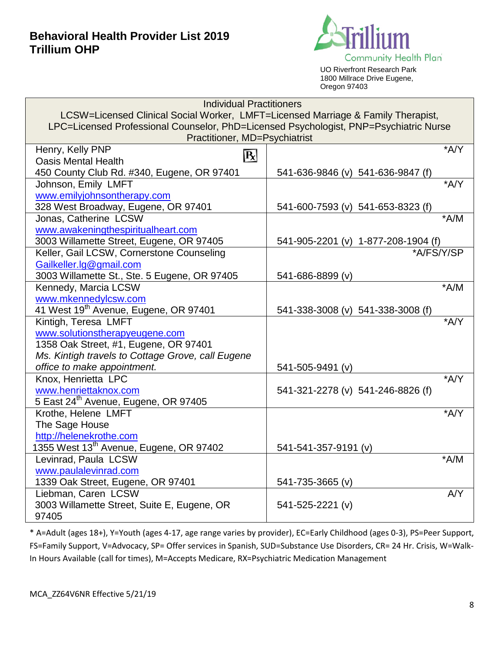

UO Riverfront Research Park 1800 Millrace Drive Eugene, Oregon 97403

| <b>Individual Practitioners</b>                                                       |                                     |  |
|---------------------------------------------------------------------------------------|-------------------------------------|--|
| LCSW=Licensed Clinical Social Worker, LMFT=Licensed Marriage & Family Therapist,      |                                     |  |
| LPC=Licensed Professional Counselor, PhD=Licensed Psychologist, PNP=Psychiatric Nurse |                                     |  |
| Practitioner, MD=Psychiatrist                                                         |                                     |  |
| Henry, Kelly PNP                                                                      | $*A/Y$                              |  |
| $\overline{\mathbf{R}}$<br><b>Oasis Mental Health</b>                                 |                                     |  |
| 450 County Club Rd. #340, Eugene, OR 97401                                            | 541-636-9846 (v) 541-636-9847 (f)   |  |
| Johnson, Emily LMFT                                                                   | *A/Y                                |  |
| www.emilyjohnsontherapy.com                                                           |                                     |  |
| 328 West Broadway, Eugene, OR 97401                                                   | 541-600-7593 (v) 541-653-8323 (f)   |  |
| Jonas, Catherine LCSW                                                                 | $^*A/M$                             |  |
| www.awakeningthespiritualheart.com                                                    |                                     |  |
| 3003 Willamette Street, Eugene, OR 97405                                              | 541-905-2201 (v) 1-877-208-1904 (f) |  |
| Keller, Gail LCSW, Cornerstone Counseling                                             | *A/FS/Y/SP                          |  |
| Gailkeller.lg@gmail.com                                                               |                                     |  |
| 3003 Willamette St., Ste. 5 Eugene, OR 97405                                          | 541-686-8899 (v)                    |  |
| Kennedy, Marcia LCSW                                                                  | $*A/M$                              |  |
| www.mkennedylcsw.com                                                                  |                                     |  |
| 41 West 19 <sup>th</sup> Avenue, Eugene, OR 97401                                     | 541-338-3008 (v) 541-338-3008 (f)   |  |
| Kintigh, Teresa LMFT                                                                  | *A/Y                                |  |
| www.solutionstherapyeugene.com                                                        |                                     |  |
| 1358 Oak Street, #1, Eugene, OR 97401                                                 |                                     |  |
| Ms. Kintigh travels to Cottage Grove, call Eugene                                     |                                     |  |
| office to make appointment.                                                           | 541-505-9491 (v)                    |  |
| Knox, Henrietta LPC                                                                   | $*AYY$                              |  |
| www.henriettaknox.com                                                                 | 541-321-2278 (v) 541-246-8826 (f)   |  |
| 5 East 24th Avenue, Eugene, OR 97405                                                  |                                     |  |
| Krothe, Helene LMFT                                                                   | $*A/Y$                              |  |
| The Sage House                                                                        |                                     |  |
| http://helenekrothe.com                                                               |                                     |  |
| 1355 West 13 <sup>th</sup> Avenue, Eugene, OR 97402                                   | 541-541-357-9191 (v)                |  |
| Levinrad, Paula LCSW                                                                  | $+A/M$                              |  |
| www.paulalevinrad.com                                                                 |                                     |  |
| 1339 Oak Street, Eugene, OR 97401                                                     | 541-735-3665 (v)                    |  |
| Liebman, Caren LCSW                                                                   | AYY                                 |  |
| 3003 Willamette Street, Suite E, Eugene, OR                                           | 541-525-2221 (v)                    |  |
| 97405                                                                                 |                                     |  |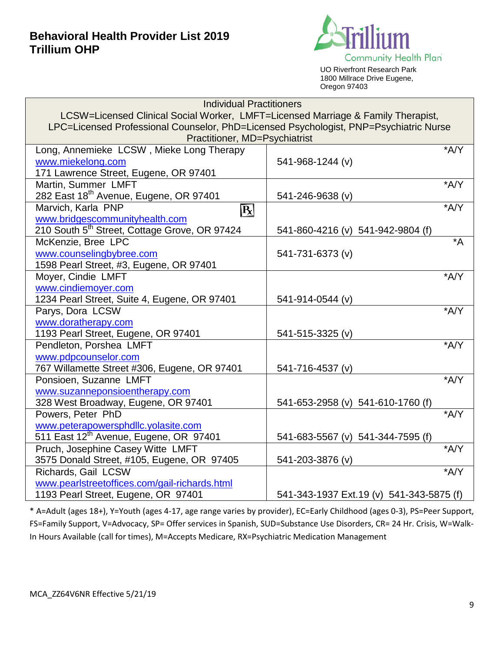

UO Riverfront Research Park 1800 Millrace Drive Eugene, Oregon 97403

| <b>Individual Practitioners</b>                                                       |                                          |  |
|---------------------------------------------------------------------------------------|------------------------------------------|--|
| LCSW=Licensed Clinical Social Worker, LMFT=Licensed Marriage & Family Therapist,      |                                          |  |
| LPC=Licensed Professional Counselor, PhD=Licensed Psychologist, PNP=Psychiatric Nurse |                                          |  |
| Practitioner, MD=Psychiatrist                                                         |                                          |  |
| Long, Annemieke LCSW, Mieke Long Therapy                                              | $+A/Y$                                   |  |
| www.miekelong.com                                                                     | 541-968-1244 (v)                         |  |
| 171 Lawrence Street, Eugene, OR 97401                                                 |                                          |  |
| Martin, Summer LMFT                                                                   | *A/Y                                     |  |
| 282 East 18 <sup>th</sup> Avenue, Eugene, OR 97401                                    | 541-246-9638 (v)                         |  |
| Marvich, Karla PNP<br>$\overline{\mathbf{R}}$                                         | $*AYY$                                   |  |
| www.bridgescommunityhealth.com                                                        |                                          |  |
| 210 South 5 <sup>th</sup> Street, Cottage Grove, OR 97424                             | 541-860-4216 (v) 541-942-9804 (f)        |  |
| McKenzie, Bree LPC                                                                    | $\overline{A^*}$                         |  |
| www.counselingbybree.com                                                              | 541-731-6373 (v)                         |  |
| 1598 Pearl Street, #3, Eugene, OR 97401                                               |                                          |  |
| Moyer, Cindie LMFT                                                                    | *A/Y                                     |  |
| www.cindiemoyer.com                                                                   |                                          |  |
| 1234 Pearl Street, Suite 4, Eugene, OR 97401                                          | 541-914-0544 (v)                         |  |
| Parys, Dora LCSW                                                                      | *A/Y                                     |  |
| www.doratherapy.com                                                                   |                                          |  |
| 1193 Pearl Street, Eugene, OR 97401                                                   | 541-515-3325 (v)                         |  |
| Pendleton, Porshea LMFT                                                               | *A/Y                                     |  |
| www.pdpcounselor.com                                                                  |                                          |  |
| 767 Willamette Street #306, Eugene, OR 97401                                          | 541-716-4537 (v)                         |  |
| Ponsioen, Suzanne LMFT                                                                | *A/Y                                     |  |
| www.suzanneponsioentherapy.com                                                        |                                          |  |
| 328 West Broadway, Eugene, OR 97401                                                   | 541-653-2958 (v) 541-610-1760 (f)        |  |
| Powers, Peter PhD                                                                     | *A/Y                                     |  |
| www.peterapowersphdllc.yolasite.com                                                   |                                          |  |
| 511 East 12th Avenue, Eugene, OR 97401                                                | 541-683-5567 (v) 541-344-7595 (f)        |  |
| Pruch, Josephine Casey Witte LMFT                                                     | *A/Y                                     |  |
| 3575 Donald Street, #105, Eugene, OR 97405                                            | 541-203-3876 (v)                         |  |
| Richards, Gail LCSW                                                                   | $*AYY$                                   |  |
| www.pearlstreetoffices.com/gail-richards.html                                         |                                          |  |
|                                                                                       |                                          |  |
| 1193 Pearl Street, Eugene, OR 97401                                                   | 541-343-1937 Ext.19 (v) 541-343-5875 (f) |  |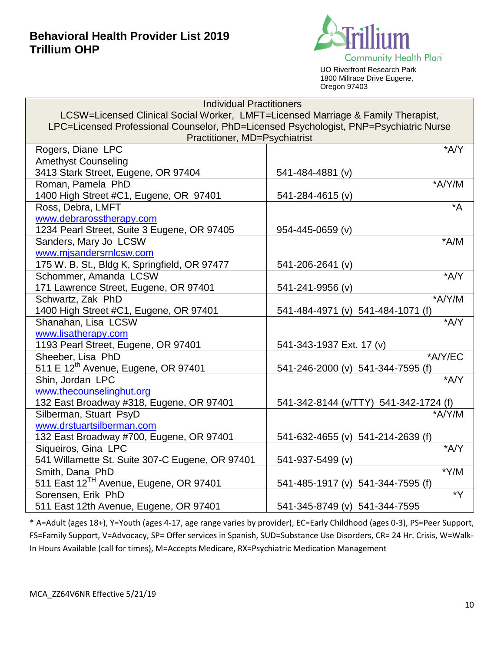

UO Riverfront Research Park 1800 Millrace Drive Eugene, Oregon 97403

| <b>Individual Practitioners</b>                                                       |                                                 |  |
|---------------------------------------------------------------------------------------|-------------------------------------------------|--|
| LCSW=Licensed Clinical Social Worker, LMFT=Licensed Marriage & Family Therapist,      |                                                 |  |
| LPC=Licensed Professional Counselor, PhD=Licensed Psychologist, PNP=Psychiatric Nurse |                                                 |  |
| Practitioner, MD=Psychiatrist                                                         |                                                 |  |
| Rogers, Diane LPC                                                                     | *A/Y                                            |  |
| <b>Amethyst Counseling</b>                                                            |                                                 |  |
| 3413 Stark Street, Eugene, OR 97404                                                   | 541-484-4881 (v)                                |  |
| Roman, Pamela PhD                                                                     | *A/Y/M                                          |  |
| 1400 High Street #C1, Eugene, OR 97401                                                | 541-284-4615 (v)                                |  |
| Ross, Debra, LMFT                                                                     | $^*A$                                           |  |
| www.debrarosstherapy.com                                                              |                                                 |  |
| 1234 Pearl Street, Suite 3 Eugene, OR 97405                                           | 954-445-0659 (v)                                |  |
| Sanders, Mary Jo LCSW                                                                 | $*A/M$                                          |  |
| www.mjsandersrnlcsw.com                                                               |                                                 |  |
| 175 W. B. St., Bldg K, Springfield, OR 97477                                          | 541-206-2641 (v)                                |  |
| Schommer, Amanda LCSW                                                                 | *A/Y                                            |  |
| 171 Lawrence Street, Eugene, OR 97401                                                 | 541-241-9956 (v)                                |  |
| Schwartz, Zak PhD                                                                     | *A/Y/M                                          |  |
| 1400 High Street #C1, Eugene, OR 97401                                                | 541-484-4971 (v) 541-484-1071 (f)               |  |
| Shanahan, Lisa LCSW                                                                   | $*A/Y$                                          |  |
| www.lisatherapy.com                                                                   |                                                 |  |
| 1193 Pearl Street, Eugene, OR 97401                                                   | 541-343-1937 Ext. 17 (v)                        |  |
| Sheeber, Lisa PhD                                                                     | *A/Y/EC                                         |  |
| 511 E 12 <sup>th</sup> Avenue, Eugene, OR 97401                                       | 541-246-2000 (v) 541-344-7595 (f)               |  |
| Shin, Jordan LPC                                                                      | $*AYY$                                          |  |
| www.thecounselinghut.org                                                              |                                                 |  |
| 132 East Broadway #318, Eugene, OR 97401<br>Silberman, Stuart PsyD                    | 541-342-8144 (v/TTY) 541-342-1724 (f)<br>*A/Y/M |  |
| www.drstuartsilberman.com                                                             |                                                 |  |
|                                                                                       |                                                 |  |
| 132 East Broadway #700, Eugene, OR 97401<br>Siqueiros, Gina LPC                       | 541-632-4655 (v) 541-214-2639 (f)<br>A/Y        |  |
| 541 Willamette St. Suite 307-C Eugene, OR 97401                                       | 541-937-5499 (v)                                |  |
| Smith, Dana PhD                                                                       | $*Y/M$                                          |  |
| 511 East 12 <sup>TH</sup> Avenue, Eugene, OR 97401                                    | 541-485-1917 (v) 541-344-7595 (f)               |  |
| Sorensen, Erik PhD                                                                    | $\overline{Y^*}$                                |  |
| 511 East 12th Avenue, Eugene, OR 97401                                                | 541-345-8749 (v) 541-344-7595                   |  |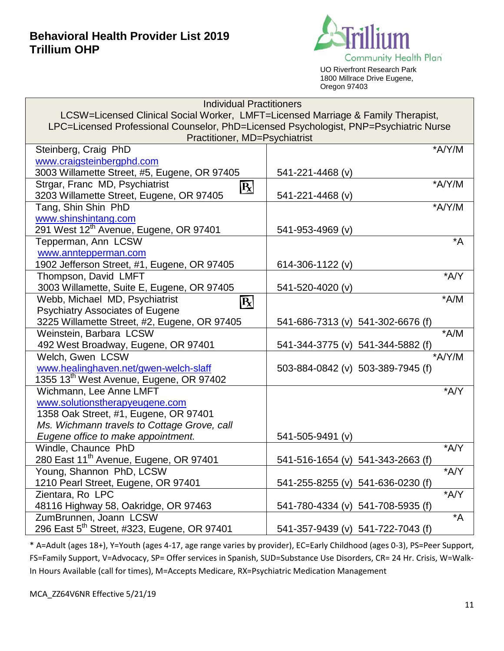

UO Riverfront Research Park 1800 Millrace Drive Eugene, Oregon 97403

| <b>Individual Practitioners</b>                                                       |                                   |  |
|---------------------------------------------------------------------------------------|-----------------------------------|--|
| LCSW=Licensed Clinical Social Worker, LMFT=Licensed Marriage & Family Therapist,      |                                   |  |
| LPC=Licensed Professional Counselor, PhD=Licensed Psychologist, PNP=Psychiatric Nurse |                                   |  |
| Practitioner, MD=Psychiatrist                                                         |                                   |  |
| Steinberg, Craig PhD                                                                  | *A/Y/M                            |  |
| www.craigsteinbergphd.com                                                             |                                   |  |
| 3003 Willamette Street, #5, Eugene, OR 97405                                          | 541-221-4468 (v)                  |  |
| Strgar, Franc MD, Psychiatrist<br>R                                                   | $*A/Y/M$                          |  |
| 3203 Willamette Street, Eugene, OR 97405                                              | 541-221-4468 (v)                  |  |
| Tang, Shin Shin PhD                                                                   | *A/Y/M                            |  |
| www.shinshintang.com                                                                  |                                   |  |
| 291 West 12 <sup>th</sup> Avenue, Eugene, OR 97401                                    | 541-953-4969 (v)                  |  |
| Tepperman, Ann LCSW                                                                   | $^*A$                             |  |
| www.anntepperman.com                                                                  |                                   |  |
| 1902 Jefferson Street, #1, Eugene, OR 97405                                           | 614-306-1122 (v)                  |  |
| Thompson, David LMFT                                                                  | *A/Y                              |  |
| 3003 Willamette, Suite E, Eugene, OR 97405                                            | 541-520-4020 (v)                  |  |
| Webb, Michael MD, Psychiatrist<br>$ \mathbf{R} $                                      | $*A/M$                            |  |
| <b>Psychiatry Associates of Eugene</b>                                                |                                   |  |
| 3225 Willamette Street, #2, Eugene, OR 97405                                          | 541-686-7313 (v) 541-302-6676 (f) |  |
| Weinstein, Barbara LCSW                                                               | $*A/M$                            |  |
| 492 West Broadway, Eugene, OR 97401                                                   | 541-344-3775 (v) 541-344-5882 (f) |  |
| Welch, Gwen LCSW                                                                      | *A/Y/M                            |  |
| www.healinghaven.net/gwen-welch-slaff                                                 | 503-884-0842 (v) 503-389-7945 (f) |  |
| 1355 13 <sup>th</sup> West Avenue, Eugene, OR 97402                                   |                                   |  |
| Wichmann, Lee Anne LMFT                                                               | *A/Y                              |  |
| www.solutionstherapyeugene.com                                                        |                                   |  |
| 1358 Oak Street, #1, Eugene, OR 97401                                                 |                                   |  |
| Ms. Wichmann travels to Cottage Grove, call                                           |                                   |  |
| Eugene office to make appointment.                                                    | 541-505-9491 (v)                  |  |
| Windle, Chaunce PhD                                                                   | *A/Y                              |  |
| 280 East 11 <sup>th</sup> Avenue, Eugene, OR 97401                                    | 541-516-1654 (v) 541-343-2663 (f) |  |
| Young, Shannon PhD, LCSW                                                              | *A/Y                              |  |
| 1210 Pearl Street, Eugene, OR 97401                                                   | 541-255-8255 (v) 541-636-0230 (f) |  |
| Zientara, Ro LPC                                                                      | *A/Y                              |  |
| 48116 Highway 58, Oakridge, OR 97463                                                  | 541-780-4334 (v) 541-708-5935 (f) |  |
| ZumBrunnen, Joann LCSW                                                                | $^*A$                             |  |
| 296 East 5 <sup>th</sup> Street, #323, Eugene, OR 97401                               | 541-357-9439 (v) 541-722-7043 (f) |  |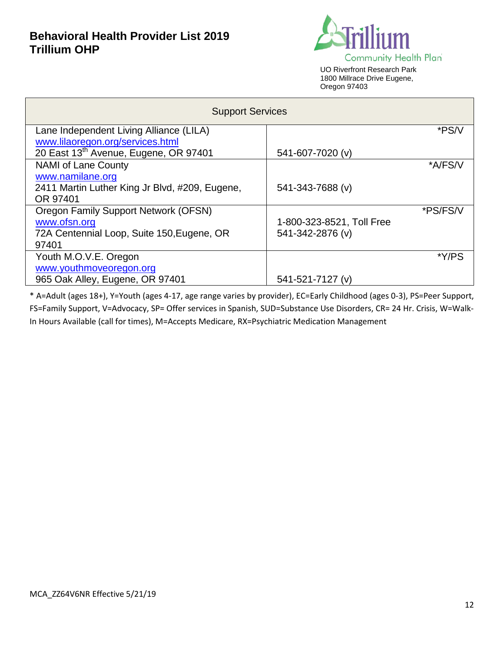

UO Riverfront Research Park 1800 Millrace Drive Eugene, Oregon 97403

| <b>Support Services</b>                        |                           |          |
|------------------------------------------------|---------------------------|----------|
| Lane Independent Living Alliance (LILA)        |                           | *PS/V    |
| www.lilaoregon.org/services.html               |                           |          |
| 20 East 13th Avenue, Eugene, OR 97401          | 541-607-7020 (v)          |          |
| <b>NAMI of Lane County</b>                     |                           | *A/FS/V  |
| www.namilane.org                               |                           |          |
| 2411 Martin Luther King Jr Blvd, #209, Eugene, | 541-343-7688 (v)          |          |
| OR 97401                                       |                           |          |
| <b>Oregon Family Support Network (OFSN)</b>    |                           | *PS/FS/V |
| www.ofsn.org                                   | 1-800-323-8521, Toll Free |          |
| 72A Centennial Loop, Suite 150, Eugene, OR     | 541-342-2876 (v)          |          |
| 97401                                          |                           |          |
| Youth M.O.V.E. Oregon                          |                           | *Y/PS    |
| www.youthmoveoregon.org                        |                           |          |
| 965 Oak Alley, Eugene, OR 97401                | 541-521-7127 (v)          |          |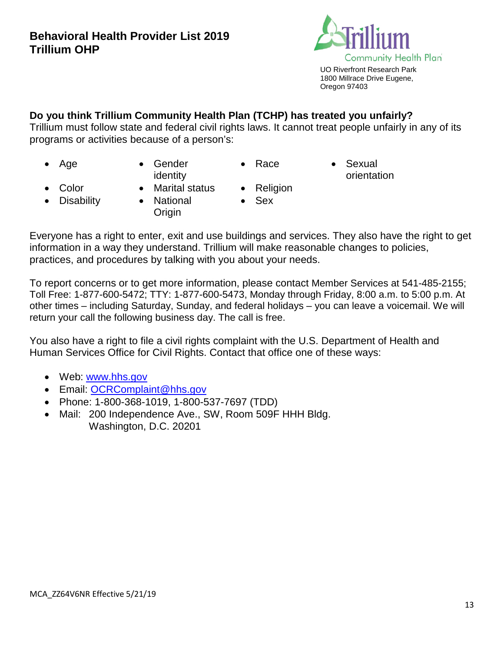

# **Do you think Trillium Community Health Plan (TCHP) has treated you unfairly?**

Trillium must follow state and federal civil rights laws. It cannot treat people unfairly in any of its programs or activities because of a person's:

- 
- Age Gender identity

**Origin** 

- 
- Race Sexual orientation

- 
- Color Marital status Religion
	- Sex
	- Disability National
- 

Everyone has a right to enter, exit and use buildings and services. They also have the right to get information in a way they understand. Trillium will make reasonable changes to policies, practices, and procedures by talking with you about your needs.

To report concerns or to get more information, please contact Member Services at 541-485-2155; Toll Free: 1-877-600-5472; TTY: 1-877-600-5473, Monday through Friday, 8:00 a.m. to 5:00 p.m. At other times – including Saturday, Sunday, and federal holidays – you can leave a voicemail. We will return your call the following business day. The call is free.

You also have a right to file a civil rights complaint with the U.S. Department of Health and Human Services Office for Civil Rights. Contact that office one of these ways:

- Web: [www.hhs.gov](http://www.hhs.gov/)
- Email: [OCRComplaint@hhs.gov](mailto:OCRComplaint@hhs.gov)
- Phone: 1-800-368-1019, 1-800-537-7697 (TDD)
- Mail: 200 Independence Ave., SW, Room 509F HHH Bldg. Washington, D.C. 20201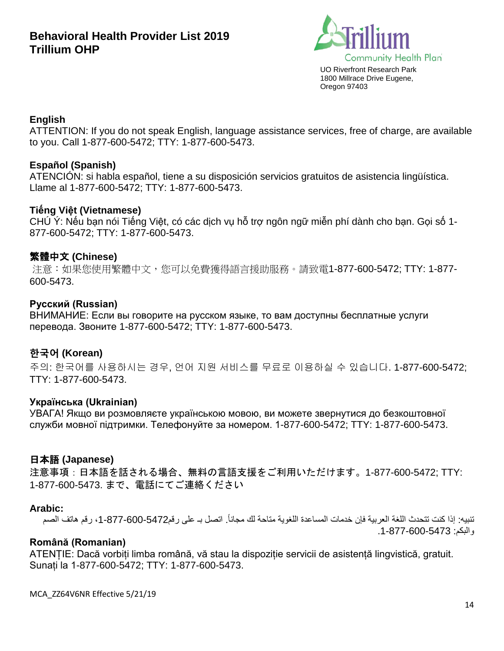

#### **English**

ATTENTION: If you do not speak English, language assistance services, free of charge, are available to you. Call 1-877-600-5472; TTY: 1-877-600-5473.

### **Español (Spanish)**

ATENCIÓN: si habla español, tiene a su disposición servicios gratuitos de asistencia lingüística. Llame al 1-877-600-5472; TTY: 1-877-600-5473.

### **Tiếng Việt (Vietnamese)**

CHÚ Ý: Nếu bạn nói Tiếng Việt, có các dịch vụ hỗ trợ ngôn ngữ miễn phí dành cho bạn. Gọi số 1- 877-600-5472; TTY: 1-877-600-5473.

### 繁體中文 **(Chinese)**

注意:如果您使用繁體中文,您可以免費獲得語言援助服務。請致電1-877-600-5472; TTY: 1-877- 600-5473.

#### **Русский (Russian)**

ВНИМАНИЕ: Если вы говорите на русском языке, то вам доступны бесплатные услуги перевода. Звоните 1-877-600-5472; TTY: 1-877-600-5473.

### **한국어 (Korean)**

주의: 한국어를 사용하시는 경우, 언어 지원 서비스를 무료로 이용하실 수 있습니다. 1-877-600-5472; TTY: 1-877-600-5473.

#### **Українська (Ukrainian)**

УВАГА! Якщо ви розмовляєте українською мовою, ви можете звернутися до безкоштовної служби мовної підтримки. Телефонуйте за номером. 1-877-600-5472; TTY: 1-877-600-5473.

#### 日本語 **(Japanese)**

注意事項:日本語を話される場合、無料の言語支援をご利用いただけます。1-877-600-5472; TTY: 1-877-600-5473. まで、電話にてご連絡ください

#### **Arabic:**

تنبيه: إذا كنت تتحدث اللغة العربية فإن خدمات المساعدة اللغوية متاحة لك مجاناً. اتصل بـ على رقم187-600-877-1، رقم هاتف الصم والبكم: .1-877-600-5473

### **Română (Romanian)**

ATENȚIE: Dacă vorbiți limba română, vă stau la dispoziție servicii de asistență lingvistică, gratuit. Sunați la 1-877-600-5472; TTY: 1-877-600-5473.

MCA\_ZZ64V6NR Effective 5/21/19